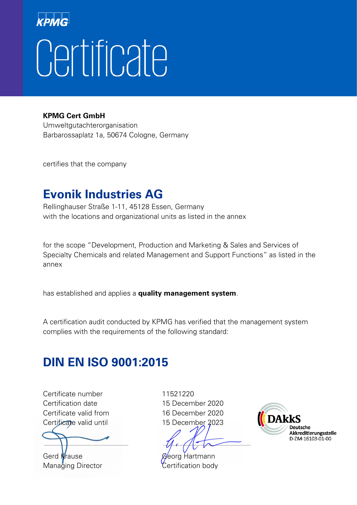# Certificate

**KPMG Cert GmbH**

Umweltgutachterorganisation Barbarossaplatz 1a, 50674 Cologne, Germany

certifies that the company

#### **Evonik Industries AG**

Rellinghauser Straße 1-11, 45128 Essen, Germany with the locations and organizational units as listed in the annex

for the scope "Development, Production and Marketing & Sales and Services of Specialty Chemicals and related Management and Support Functions" as listed in the annex

has established and applies a **quality management system**.

A certification audit conducted by KPMG has verified that the management system complies with the requirements of the following standard:

#### **DIN EN ISO 9001:2015**

Certificate number 11521220 Certification date 15 December 2020 Certificate valid from 16 December 2020 Certificate valid until 15 December 2023

Gerd Krause Georg Hartmann Managing Director **Certification body** 

 $\Box$ 

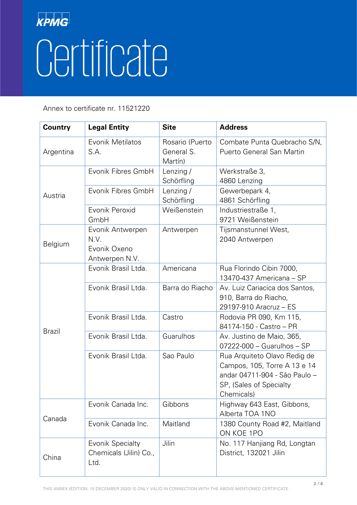| <b>Country</b> | <b>Legal Entity</b>                                        | <b>Site</b>                              | <b>Address</b>                                                                                                                         |
|----------------|------------------------------------------------------------|------------------------------------------|----------------------------------------------------------------------------------------------------------------------------------------|
| Argentina      | Evonik Metilatos<br>S.A.                                   | Rosario (Puerto<br>General S.<br>Martín) | Combate Punta Quebracho S/N.<br>Puerto General San Martin                                                                              |
| Austria        | Evonik Fibres GmbH                                         | Lenzing/<br>Schörfling                   | Werkstraße 3,<br>4860 Lenzing                                                                                                          |
|                | Evonik Fibres GmbH                                         | Lenzing /<br>Schörfling                  | Gewerbepark 4,<br>4861 Schörfling                                                                                                      |
|                | Evonik Peroxid<br>GmbH                                     | Weißenstein                              | Industriestraße 1,<br>9721 Weißenstein                                                                                                 |
| <b>Belgium</b> | Evonik Antwerpen<br>N.V.<br>Evonik Oxeno<br>Antwerpen N.V. | Antwerpen                                | Tijsmanstunnel West,<br>2040 Antwerpen                                                                                                 |
|                | Evonik Brasil Ltda.                                        | Americana                                | Rua Florindo Cibin 7000,<br>13470-437 Americana - SP                                                                                   |
|                | Evonik Brasil Ltda.                                        | Barra do Riacho                          | Av. Luiz Cariacica dos Santos,<br>910, Barra do Riacho,<br>29197-910 Aracruz - ES                                                      |
|                | Evonik Brasil Ltda.                                        | Castro                                   | Rodovia PR 090, Km 115,<br>84174-150 - Castro - PR                                                                                     |
| <b>Brazil</b>  | Evonik Brasil Ltda.                                        | Guarulhos                                | Av. Justino de Maio, 365,<br>$07222 - 000 -$ Guarulhos - SP                                                                            |
|                | Evonik Brasil Ltda.                                        | Sao Paulo                                | Rua Arquiteto Olavo Redig de<br>Campos, 105, Torre A 13 e 14<br>andar 04711-904 - São Paulo -<br>SP, (Sales of Specialty<br>Chemicals) |
| Canada         | Evonik Canada Inc.                                         | Gibbons                                  | Highway 643 East, Gibbons,<br>Alberta TOA 1NO                                                                                          |
|                | Evonik Canada Inc.                                         | Maitland                                 | 1380 County Road #2, Maitland<br>ON KOE 1PO                                                                                            |
| China          | <b>Evonik Specialty</b><br>Chemicals (Jilin) Co.,<br>Ltd.  | Jilin                                    | No. 117 Hanjiang Rd, Longtan<br>District, 132021 Jilin                                                                                 |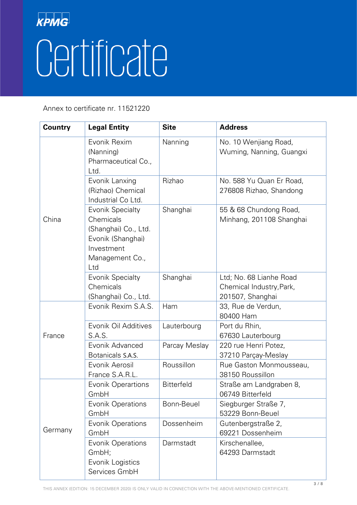| <b>Country</b> | <b>Legal Entity</b>                                                                                                       | <b>Site</b>       | <b>Address</b>                                                          |
|----------------|---------------------------------------------------------------------------------------------------------------------------|-------------------|-------------------------------------------------------------------------|
| China          | Evonik Rexim<br>(Nanning)<br>Pharmaceutical Co.,<br>Ltd.                                                                  | Nanning           | No. 10 Wenjiang Road,<br>Wuming, Nanning, Guangxi                       |
|                | Evonik Lanxing<br>(Rizhao) Chemical<br>Industrial Co Ltd.                                                                 | Rizhao            | No. 588 Yu Quan Er Road,<br>276808 Rizhao, Shandong                     |
|                | <b>Evonik Specialty</b><br>Chemicals<br>(Shanghai) Co., Ltd.<br>Evonik (Shanghai)<br>Investment<br>Management Co.,<br>Ltd | Shanghai          | 55 & 68 Chundong Road,<br>Minhang, 201108 Shanghai                      |
|                | <b>Evonik Specialty</b><br>Chemicals<br>(Shanghai) Co., Ltd.                                                              | Shanghai          | Ltd; No. 68 Lianhe Road<br>Chemical Industry, Park,<br>201507, Shanghai |
|                | Evonik Rexim S.A.S.                                                                                                       | Ham               | 33, Rue de Verdun,<br>80400 Ham                                         |
| France         | Evonik Oil Additives<br>S.A.S.                                                                                            | Lauterbourg       | Port du Rhin,<br>67630 Lauterbourg                                      |
|                | Evonik Advanced<br>Botanicals S.A.S.                                                                                      | Parcay Meslay     | 220 rue Henri Potez,<br>37210 Parçay-Meslay                             |
|                | Evonik Aerosil<br>France S.A.R.L.                                                                                         | Roussillon        | Rue Gaston Monmousseau,<br>38150 Roussillon                             |
| Germany        | <b>Evonik Operartions</b><br>GmbH                                                                                         | <b>Bitterfeld</b> | Straße am Landgraben 8,<br>06749 Bitterfeld                             |
|                | <b>Evonik Operations</b><br>GmbH                                                                                          | Bonn-Beuel        | Siegburger Straße 7,<br>53229 Bonn-Beuel                                |
|                | Evonik Operations<br>GmbH                                                                                                 | Dossenheim        | Gutenbergstraße 2,<br>69221 Dossenheim                                  |
|                | <b>Evonik Operations</b><br>GmbH;<br>Evonik Logistics<br>Services GmbH                                                    | Darmstadt         | Kirschenallee,<br>64293 Darmstadt                                       |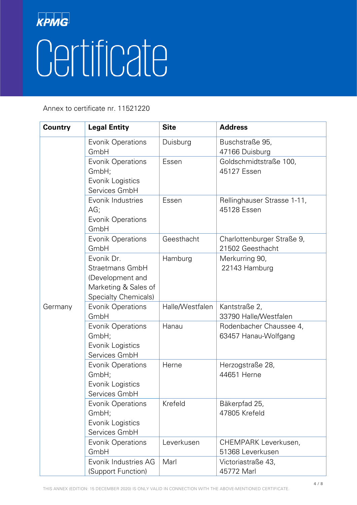| <b>Country</b> | <b>Legal Entity</b>                                                                               | <b>Site</b>     | <b>Address</b>                                  |
|----------------|---------------------------------------------------------------------------------------------------|-----------------|-------------------------------------------------|
|                | <b>Evonik Operations</b><br>GmbH                                                                  | Duisburg        | Buschstraße 95,<br>47166 Duisburg               |
|                | Evonik Operations<br>GmbH;<br>Evonik Logistics<br>Services GmbH                                   | Essen           | Goldschmidtstraße 100,<br>45127 Essen           |
|                | Evonik Industries<br>AG;<br><b>Evonik Operations</b><br>GmbH                                      | Essen           | Rellinghauser Strasse 1-11,<br>45128 Essen      |
|                | <b>Evonik Operations</b><br>GmbH                                                                  | Geesthacht      | Charlottenburger Straße 9,<br>21502 Geesthacht  |
|                | Evonik Dr.<br>Straetmans GmbH<br>(Development and<br>Marketing & Sales of<br>Specialty Chemicals) | Hamburg         | Merkurring 90,<br>22143 Hamburg                 |
| Germany        | <b>Evonik Operations</b><br>GmbH                                                                  | Halle/Westfalen | Kantstraße 2,<br>33790 Halle/Westfalen          |
|                | Evonik Operations<br>GmbH;<br>Evonik Logistics<br>Services GmbH                                   | Hanau           | Rodenbacher Chaussee 4,<br>63457 Hanau-Wolfgang |
|                | Evonik Operations<br>GmbH;<br>Evonik Logistics<br>Services GmbH                                   | Herne           | Herzogstraße 28,<br>44651 Herne                 |
|                | <b>Evonik Operations</b><br>GmbH;<br>Evonik Logistics<br>Services GmbH                            | Krefeld         | Bäkerpfad 25,<br>47805 Krefeld                  |
|                | <b>Evonik Operations</b><br>GmbH                                                                  | Leverkusen      | CHEMPARK Leverkusen,<br>51368 Leverkusen        |
|                | Evonik Industries AG<br>(Support Function)                                                        | Marl            | Victoriastraße 43,<br>45772 Marl                |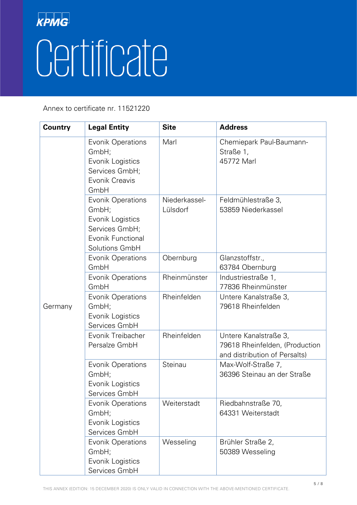| <b>Country</b> | <b>Legal Entity</b>                                                                                                   | <b>Site</b>               | <b>Address</b>                                                                           |
|----------------|-----------------------------------------------------------------------------------------------------------------------|---------------------------|------------------------------------------------------------------------------------------|
|                | <b>Evonik Operations</b><br>GmbH;<br>Evonik Logistics<br>Services GmbH;<br>Evonik Creavis<br>GmbH                     | Marl                      | Chemiepark Paul-Baumann-<br>Straße 1,<br>45772 Marl                                      |
|                | <b>Evonik Operations</b><br>GmbH;<br>Evonik Logistics<br>Services GmbH;<br><b>Evonik Functional</b><br>Solutions GmbH | Niederkassel-<br>Lülsdorf | Feldmühlestraße 3,<br>53859 Niederkassel                                                 |
|                | <b>Evonik Operations</b><br>GmbH                                                                                      | Obernburg                 | Glanzstoffstr.,<br>63784 Obernburg                                                       |
|                | Evonik Operations<br>GmbH                                                                                             | Rheinmünster              | Industriestraße 1,<br>77836 Rheinmünster                                                 |
| Germany        | <b>Evonik Operations</b><br>GmbH;<br>Evonik Logistics<br>Services GmbH                                                | Rheinfelden               | Untere Kanalstraße 3,<br>79618 Rheinfelden                                               |
|                | Evonik Treibacher<br>Persalze GmbH                                                                                    | Rheinfelden               | Untere Kanalstraße 3,<br>79618 Rheinfelden, (Production<br>and distribution of Persalts) |
|                | <b>Evonik Operations</b><br>GmbH;<br>Evonik Logistics<br>Services GmbH                                                | Steinau                   | Max-Wolf-Straße 7,<br>36396 Steinau an der Straße                                        |
|                | <b>Evonik Operations</b><br>GmbH;<br>Evonik Logistics<br>Services GmbH                                                | Weiterstadt               | Riedbahnstraße 70,<br>64331 Weiterstadt                                                  |
|                | Evonik Operations<br>GmbH;<br>Evonik Logistics<br>Services GmbH                                                       | Wesseling                 | Brühler Straße 2,<br>50389 Wesseling                                                     |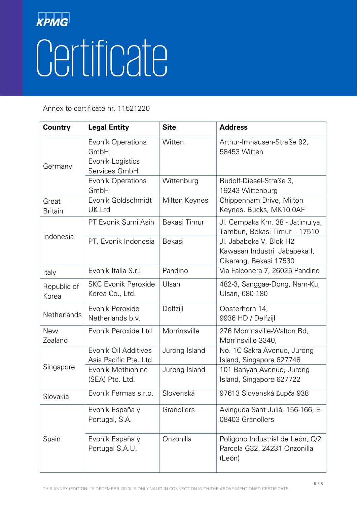| <b>Country</b>          | <b>Legal Entity</b>                                                    | <b>Site</b>   | <b>Address</b>                                                                    |
|-------------------------|------------------------------------------------------------------------|---------------|-----------------------------------------------------------------------------------|
| Germany                 | <b>Evonik Operations</b><br>GmbH;<br>Evonik Logistics<br>Services GmbH | Witten        | Arthur-Imhausen-Straße 92,<br>58453 Witten                                        |
|                         | <b>Evonik Operations</b><br>GmbH                                       | Wittenburg    | Rudolf-Diesel-Straße 3,<br>19243 Wittenburg                                       |
| Great<br><b>Britain</b> | Evonik Goldschmidt<br>UK Ltd                                           | Milton Keynes | Chippenham Drive, Milton<br>Keynes, Bucks, MK10 0AF                               |
| Indonesia               | PT Evonik Sumi Asih                                                    | Bekasi Timur  | Jl. Cempaka Km. 38 - Jatimulya,<br>Tambun, Bekasi Timur - 17510                   |
|                         | PT. Evonik Indonesia                                                   | Bekasi        | Jl. Jababeka V, Blok H2<br>Kawasan Industri Jababeka I,<br>Cikarang, Bekasi 17530 |
| Italy                   | Evonik Italia S.r.I                                                    | Pandino       | Via Falconera 7, 26025 Pandino                                                    |
| Republic of<br>Korea    | <b>SKC Evonik Peroxide</b><br>Korea Co., Ltd.                          | Ulsan         | 482-3, Sanggae-Dong, Nam-Ku,<br>Ulsan, 680-180                                    |
| Netherlands             | Evonik Peroxide<br>Netherlands b.v.                                    | Delfzijl      | Oosterhorn 14,<br>9936 HD / Delfzijl                                              |
| <b>New</b><br>Zealand   | Evonik Peroxide Ltd.                                                   | Morrinsville  | 276 Morrinsville-Walton Rd,<br>Morrinsville 3340,                                 |
| Singapore               | Evonik Oil Additives<br>Asia Pacific Pte. Ltd.                         | Jurong Island | No. 1C Sakra Avenue, Jurong<br>Island, Singapore 627748                           |
|                         | Evonik Methionine<br>(SEA) Pte. Ltd.                                   | Jurong Island | 101 Banyan Avenue, Jurong<br>Island, Singapore 627722                             |
| Slovakia                | Evonik Fermas s.r.o.                                                   | Slovenská     | 97613 Slovenská Ľupča 938                                                         |
| Spain                   | Evonik España y<br>Portugal, S.A.                                      | Granollers    | Avinguda Sant Juliá, 156-166, E-<br>08403 Granollers                              |
|                         | Evonik España y<br>Portugal S.A.U.                                     | Onzonilla     | Poligono Industrial de León, C/2<br>Parcela G32. 24231 Onzonilla<br>(León)        |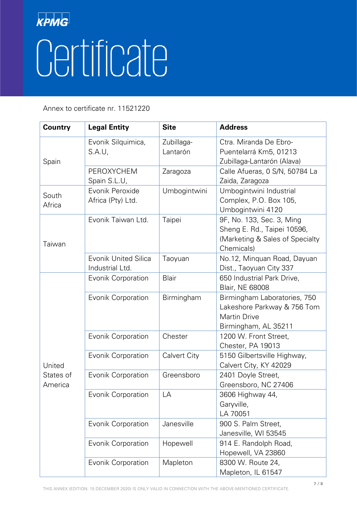| <b>Country</b>                 | <b>Legal Entity</b>                            | <b>Site</b>            | <b>Address</b>                                                                                             |
|--------------------------------|------------------------------------------------|------------------------|------------------------------------------------------------------------------------------------------------|
| Spain                          | Evonik Silquimica,<br>S.A.U.                   | Zubillaga-<br>Lantarón | Ctra. Miranda De Ebro-<br>Puentelarrá Km5, 01213<br>Zubillaga-Lantarón (Alava)                             |
|                                | <b>PEROXYCHEM</b><br>Spain S.L.U,              | Zaragoza               | Calle Afueras, 0 S/N, 50784 La<br>Zaida, Zaragoza                                                          |
| South<br>Africa                | Evonik Peroxide<br>Africa (Pty) Ltd.           | Umbogintwini           | Umbogintwini Industrial<br>Complex, P.O. Box 105,<br>Umbogintwini 4120                                     |
| Taiwan                         | Evonik Taiwan Ltd.                             | Taipei                 | 9F, No. 133, Sec. 3, Ming<br>Sheng E. Rd., Taipei 10596,<br>(Marketing & Sales of Specialty)<br>Chemicals) |
|                                | <b>Evonik United Silica</b><br>Industrial Ltd. | Taoyuan                | No.12, Minquan Road, Dayuan<br>Dist., Taoyuan City 337                                                     |
|                                | <b>Evonik Corporation</b>                      | Blair                  | 650 Industrial Park Drive,<br><b>Blair, NE 68008</b>                                                       |
|                                | <b>Evonik Corporation</b>                      | Birmingham             | Birmingham Laboratories, 750<br>Lakeshore Parkway & 756 Tom<br><b>Martin Drive</b><br>Birmingham, AL 35211 |
|                                | <b>Evonik Corporation</b>                      | Chester                | 1200 W. Front Street,<br>Chester, PA 19013                                                                 |
| United<br>States of<br>America | <b>Evonik Corporation</b>                      | <b>Calvert City</b>    | 5150 Gilbertsville Highway,<br>Calvert City, KY 42029                                                      |
|                                | <b>Evonik Corporation</b>                      | Greensboro             | 2401 Doyle Street,<br>Greensboro, NC 27406                                                                 |
|                                | <b>Evonik Corporation</b>                      | LA                     | 3606 Highway 44,<br>Garyville,<br>LA 70051                                                                 |
|                                | <b>Evonik Corporation</b>                      | Janesville             | 900 S. Palm Street,<br>Janesville, WI 53545                                                                |
|                                | <b>Evonik Corporation</b>                      | Hopewell               | 914 E. Randolph Road,<br>Hopewell, VA 23860                                                                |
|                                | <b>Evonik Corporation</b>                      | Mapleton               | 8300 W. Route 24,<br>Mapleton, IL 61547                                                                    |